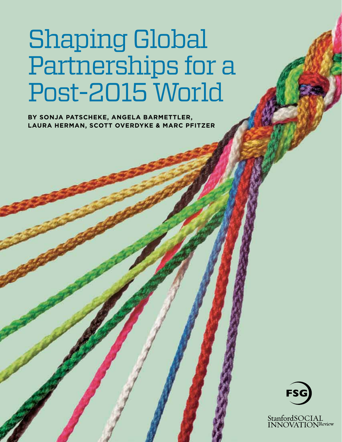# Shaping Global Partnerships for a Post-2015 World

**By Sonja Patscheke, Angela Barmettler, Laura Herman, Scott Overdyke & Marc Pfitzer**



StanfordSOCIAL<br>INNOVATIONReview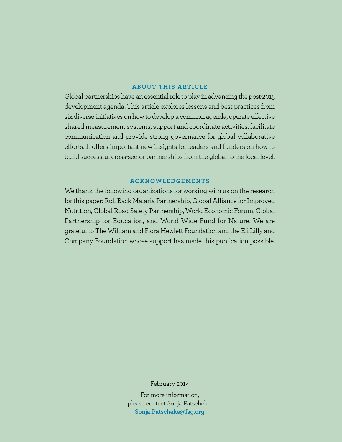# **ABOUT THIS ARTICLE**

Global partnerships have an essential role to play in advancing the post-2015 development agenda. This article explores lessons and best practices from six diverse initiatives on how to develop a common agenda, operate effective shared measurement systems, support and coordinate activities, facilitate communication and provide strong governance for global collaborative efforts. It offers important new insights for leaders and funders on how to build successful cross-sector partnerships from the global to the local level.

## **ACKNOWLEDGEMENTS**

We thank the following organizations for working with us on the research for this paper: Roll Back Malaria Partnership, Global Alliance for Improved Nutrition, Global Road Safety Partnership, World Economic Forum, Global Partnership for Education, and World Wide Fund for Nature. We are grateful to The William and Flora Hewlett Foundation and the Eli Lilly and Company Foundation whose support has made this publication possible.

February 2014

For more information, please contact Sonja Patscheke: **Sonja.Patscheke@fsg.org**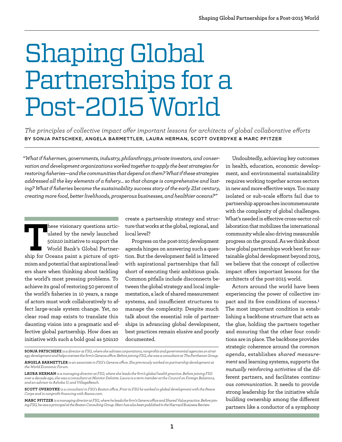# Shaping Global Partnerships for a Post-2015 World

*The principles of collective impact offer important lessons for architects of global collaborative efforts* By Sonja Patscheke, Angela Barmettler, Laura Herman, Scott Overdyke & Marc Pfitzer

*"What if fishermen, governments, industry, philanthropy, private investors, and conservation and development organizations worked together to apply the best strategies for restoring fisheries—and the communities that depend on them? What if these strategies addressed all the key elements of a fishery… so that change is comprehensive and lasting? What if fisheries became the sustainability success story of the early 21st century, creating more food, better livelihoods, prosperous businesses, and healthier oceans?"*

**THESE VISIONARY QUESTION ARTICULARED SOLUTE SHIP FOR VISION PARTICULARED SHIP for Oceans paint a picture of opti**ulated by the newly launched 50in10 initiative to support the World Bank's Global Partnermism and potential that aspirational leaders share when thinking about tackling the world's most pressing problems. To achieve its goal of restoring 50 percent of the world's fisheries in 10 years, a range of actors must work collaboratively to affect large-scale system change. Yet, no clear road map exists to translate this daunting vision into a pragmatic and effective global partnership. How does an initiative with such a bold goal as 50in10

create a partnership strategy and structure that works at the global, regional, and local level?

Progress on the post-2015 development agenda hinges on answering such a question. But the development field is littered with aspirational partnerships that fall short of executing their ambitious goals. Common pitfalls include disconnects between the global strategy and local implementation, a lack of shared measurement systems, and insufficient structures to manage the complexity. Despite much talk about the essential role of partnerships in advancing global development, best practices remain elusive and poorly documented.

**Marc Pfitzer** *is a managing director at FSG, where he leads the firm's Geneva office and Shared Value practice. Before joining FSG, he was a principal at the Boston Consulting Group. Marc has also been published in the* Harvard Business Review.

Undoubtedly, achieving key outcomes in health, education, economic development, and environmental sustainability requires working together across sectors in new and more effective ways. Too many isolated or sub-scale efforts fail due to partnership approaches incommensurate with the complexity of global challenges. What's needed is effective cross-sector collaboration that mobilizes the international community while also driving measurable progress on the ground. As we think about how global partnerships work best for sustainable global development beyond 2015, we believe that the concept of collective impact offers important lessons for the architects of the post-2015 world.

Actors around the world have been experiencing the power of collective impact and its five conditions of success.**<sup>1</sup>** The most important condition is establishing a backbone structure that acts as the glue, holding the partners together and ensuring that the other four conditions are in place. The backbone provides strategic coherence around the *common agenda*, establishes *shared measurement* and learning systems, supports the *mutually reinforcing activities* of the different partners, and facilitates continuous *communication*. It needs to provide strong leadership for the initiative while building ownership among the different partners like a conductor of a symphony

**Sonja Patscheke** *is a director at FSG, where she advises corporations, nonprofits and governmental agencies on strategy development and helps oversee the firm's Geneva office. Before joining FSG, she was a consultant at The Parthenon Group.* 

**Angela Barmettler** *is an associate in FSG's Geneva office. She previously worked on partnership development at the World Economic Forum.*

**Laura Herman** *is a managing director at FSG, where she leads the firm's global health practice. Before joining FSG over a decade ago, she was a consultant at Monitor Deloitte. Laura is a term member at the Council on Foreign Relations, and an advisor to Ashoka U, and VillageReach.*

**Scott Overdyke** *is a consultant in FSG's Boston office. Prior to FSG he worked in global development with the Peace Corps and in nonprofit financing with Razoo.com.*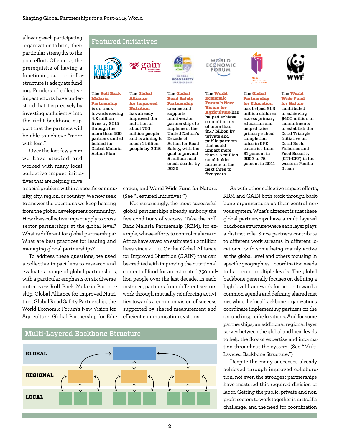allowing each participating organization to bring their particular strengths to the joint effort. Of course, the prerequisite of having a functioning support infrastructure is adequate funding. Funders of collective impact efforts have understood that it is precisely by investing sufficiently into the right backbone support that the partners will be able to achieve "more with less."

Over the last few years, we have studied and worked with many local collective impact initiatives that are helping solve

a social problem within a specific community, city, region, or country. We now seek to answer the questions we keep hearing from the global development community: How does collective impact apply to crosssector partnerships at the global level? What is different for global partnerships? What are best practices for leading and managing global partnerships?

To address these questions, we used a collective impact lens to research and evaluate a range of global partnerships, with a particular emphasis on six diverse initiatives: Roll Back Malaria Partnership, Global Alliance for Improved Nutrition, Global Road Safety Partnership, the World Economic Forum's New Vision for Agriculture, Global Partnership for Edu-



cation, and World Wide Fund for Nature. (See "Featured Initiatives.")

Not surprisingly, the most successful global partnerships already embody the five conditions of success. Take the Roll Back Malaria Partnership (RBM), for example, whose efforts to control malaria in Africa have saved an estimated 1.2 million lives since 2000. Or the Global Alliance for Improved Nutrition (GAIN) that can be credited with improving the nutritional content of food for an estimated 750 million people over the last decade. In each instance, partners from different sectors work through mutually reinforcing activities towards a common vision of success supported by shared measurement and efficient communication systems.



As with other collective impact efforts, RBM and GAIN both work through backbone organizations as their central nervous system. What's different is that these global partnerships have a multi-layered backbone structure where each layer plays a distinct role. Since partners contribute to different work streams in different locations—with some being mainly active at the global level and others focusing in specific geographies—coordination needs to happen at multiple levels. The global backbone generally focuses on defining a high level framework for action toward a common agenda and defining shared metrics while the local backbone organizations coordinate implementing partners on the ground in specific locations. And for some partnerships, an additional regional layer serves between the global and local levels to help the flow of expertise and information throughout the system. (See "Multi-Layered Backbone Structure.")

Despite the many successes already achieved through improved collaboration, not even the strongest partnerships have mastered this required division of labor. Getting the public, private and nonprofit sectors to work together is in itself a challenge, and the need for coordination

## **2**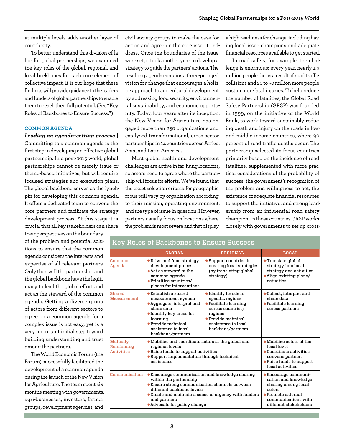at multiple levels adds another layer of complexity.

To better understand this division of labor for global partnerships, we examined the key roles of the global, regional, and local backbones for each core element of collective impact. It is our hope that these findings will provide guidance to the leaders and funders of global partnerships to enable them to reach their full potential. (See "Key Roles of Backbones to Ensure Success.")

#### **COMMON AGENDA**

*Leading an agenda-setting process* | Committing to a common agenda is the first step in developing an effective global partnership. In a post-2015 world, global partnerships cannot be merely issue or theme-based initiatives, but will require focused strategies and execution plans. The global backbone serves as the lynchpin for developing this common agenda. It offers a dedicated team to convene the core partners and facilitate the strategy development process. At this stage it is crucial that all key stakeholders can share

their perspectives on the boundary of the problem and potential solutions to ensure that the common agenda considers the interests and expertise of all relevant partners. Only then will the partnership and the global backbone have the legitimacy to lead the global effort and act as the steward of the common agenda. Getting a diverse group of actors from different sectors to agree on a common agenda for a complex issue is not easy, yet is a very important initial step toward building understanding and trust among the partners.

The World Economic Forum (the Forum) successfully facilitated the development of a common agenda during the launch of the New Vision for Agriculture. The team spent six months meeting with governments, agri-businesses, investors, farmer groups, development agencies, and

civil society groups to make the case for action and agree on the core issue to address. Once the boundaries of the issue were set, it took another year to develop a strategy to guide the partners' actions. The resulting agenda contains a three-pronged vision for change that encourages a holistic approach to agricultural development by addressing food security, environmental sustainability, and economic opportunity. Today, four years after its inception, the New Vision for Agriculture has engaged more than 250 organizations and catalyzed transformational, cross-sector partnerships in 14 countries across Africa, Asia, and Latin America.

Most global health and development challenges are active in far-flung locations, so actors need to agree where the partnership will focus its efforts. We've found that the exact selection criteria for geographic focus will vary by organization according to their mission, operating environment, and the type of issue in question. However, partners usually focus on locations where the problem is most severe and that display

a high readiness for change, including having local issue champions and adequate financial resources available to get started.

In road safety, for example, the challenge is enormous: every year, nearly 1.3 million people die as a result of road traffic collisions and 20 to 50 million more people sustain non-fatal injuries. To help reduce the number of fatalities, the Global Road Safety Partnership (GRSP) was founded in 1999, on the initiative of the World Bank, to work toward sustainably reducing death and injury on the roads in lowand middle-income countries, where 90 percent of road traffic deaths occur. The partnership selected its focus countries primarily based on the incidence of road fatalities, supplemented with more practical considerations of the probability of success: the government's recognition of the problem and willingness to act, the existence of adequate financial resources to support the initiative, and strong leadership from an influential road safety champion. In those countries GRSP works closely with governments to set up cross-

| Key Roles of Backbones to Ensure Success     |                                                                                                                                                                                                                                                                                |                                                                                                                                                                                                                |                                                                                                                                                                                   |
|----------------------------------------------|--------------------------------------------------------------------------------------------------------------------------------------------------------------------------------------------------------------------------------------------------------------------------------|----------------------------------------------------------------------------------------------------------------------------------------------------------------------------------------------------------------|-----------------------------------------------------------------------------------------------------------------------------------------------------------------------------------|
|                                              | <b>GLOBAL</b>                                                                                                                                                                                                                                                                  | <b>REGIONAL</b>                                                                                                                                                                                                | <b>LOCAL</b>                                                                                                                                                                      |
| Common<br>Agenda                             | ◆Drive and fund strategy<br>development process<br>$\triangle$ Act as steward of the<br>common agenda<br>◆Prioritize countries/<br>places for interventions                                                                                                                    | $\blacklozenge$ Support countries in<br>creating local strategies<br>(by translating global<br>strategy)                                                                                                       | ◆ Translate global<br>strategy into local<br>strategy and activities<br>$\blacklozenge$ Align existing plans/<br>activities                                                       |
| <b>Shared</b><br><b>Measurement</b>          | $\blacklozenge$ Establish a shared<br>measurement system<br>◆Aggregate, interpret and<br>share data<br>$\blacklozenge$ Identify key areas for<br>learning<br>$\blacklozenge$ Provide technical<br>assistance to local<br>backbone/partners                                     | $\blacklozenge$ Identify trends in<br>specific regions<br>$\blacklozenge$ Facilitate learning<br>across countries/<br>regions<br>$\blacklozenge$ Provide technical<br>assistance to local<br>backbone/partners | ◆Collect, interpret and<br>share data<br>◆Facilitate learning<br>across partners                                                                                                  |
| Mutually<br>Reinforcing<br><b>Activities</b> | $\blacklozenge$ Mobilize and coordinate actors at the global and<br>regional levels<br>$\blacklozenge$ Raise funds to support activities<br>♦ Support implementation through technical<br>assistance                                                                           |                                                                                                                                                                                                                | $\blacklozenge$ Mobilize actors at the<br>Incal level<br>$\blacklozenge$ Coordinate activities,<br>convene partners<br>$\blacklozenge$ Raise funds to support<br>local activities |
| Communication                                | $\blacklozenge$ Encourage communication and knowledge sharing<br>within the partnership<br>◆ Ensure strong communication channels between<br>different backbone levels<br>◆ Create and maintain a sense of urgency with funders<br>and partners<br>◆Advocate for policy change |                                                                                                                                                                                                                | $\blacklozenge$ Encourage communi-<br>cation and knowledge<br>sharing among local<br>actors<br>$\bullet$ Promote external<br>communications with<br>different stakeholders        |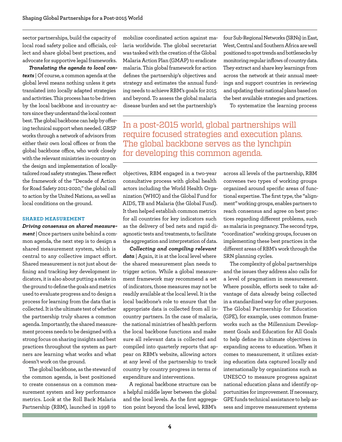sector partnerships, build the capacity of local road safety police and officials, collect and share global best practices, and advocate for supportive legal frameworks.

*Translating the agenda to local contexts* | Of course, a common agenda at the global level means nothing unless it gets translated into locally adapted strategies and activities. This process has to be driven by the local backbone and in-country actors since they understand the local context best. The global backbone can help by offering technical support when needed. GRSP works through a network of advisors from either their own local offices or from the global backbone office, who work closely with the relevant ministries in-country on the design and implementation of locallytailored road safety strategies. These reflect the framework of the "Decade of Action for Road Safety 2011-2020," the global call to action by the United Nations, as well as local conditions on the ground.

#### **SHARED MEASUREMENT**

*Driving consensus on shared measurement* | Once partners unite behind a common agenda, the next step is to design a shared measurement system, which is central to any collective impact effort. Shared measurement is not just about defining and tracking key development indicators, it is also about putting a stake in the ground to define the goals and metrics used to evaluate progress and to design a process for learning from the data that is collected. It is the ultimate test of whether the partnership truly shares a common agenda. Importantly, the shared measurement process needs to be designed with a strong focus on sharing insights and best practices throughout the system as partners are learning what works and what doesn't work on the ground.

The global backbone, as the steward of the common agenda, is best positioned to create consensus on a common measurement system and key performance metrics. Look at the Roll Back Malaria Partnership (RBM), launched in 1998 to

mobilize coordinated action against malaria worldwide. The global secretariat was tasked with the creation of the Global Malaria Action Plan (GMAP) to eradicate malaria. This global framework for action defines the partnership's objectives and strategy and estimates the annual funding needs to achieve RBM's goals for 2015 and beyond. To assess the global malaria disease burden and set the partnership's

four Sub-Regional Networks (SRNs) in East, West, Central and Southern Africa are well positioned to spot trends and bottlenecks by monitoring regular inflows of country data. They extract and share key learnings from across the network at their annual meetings and support countries in reviewing and updating their national plans based on the best available strategies and practices.

To systematize the learning process

In a post-2015 world, global partnerships will require focused strategies and execution plans. The global backbone serves as the lynchpin for developing this common agenda.

objectives, RBM engaged in a two-year consultative process with global health actors including the World Health Organization (WHO) and the Global Fund for AIDS, TB and Malaria (the Global Fund). It then helped establish common metrics for all countries for key indicators such as the delivery of bed nets and rapid diagnostic tests and treatments, to facilitate the aggregation and interpretation of data.

*Collecting and compiling relevant data* | Again, it is at the local level where the shared measurement plan needs to trigger action. While a global measurement framework may recommend a set of indicators, those measures may not be readily available at the local level. It is the local backbone's role to ensure that the appropriate data is collected from all incountry partners. In the case of malaria, the national ministries of health perform the local backbone functions and make sure all relevant data is collected and compiled into quarterly reports that appear on RBM's website, allowing actors at any level of the partnership to track country by country progress in terms of expenditure and interventions.

A regional backbone structure can be a helpful middle layer between the global and the local levels. As the first aggregation point beyond the local level, RBM's

across all levels of the partnership, RBM convenes two types of working groups organized around specific areas of functional expertise. The first type, the "alignment" working groups, enables partners to reach consensus and agree on best practices regarding different problems, such as malaria in pregnancy. The second type, "coordination" working groups, focuses on implementing these best practices in the different areas of RBM's work through the SRN planning cycles.

The complexity of global partnerships and the issues they address also calls for a level of pragmatism in measurement. Where possible, efforts seek to take advantage of data already being collected in a standardized way for other purposes. The Global Partnership for Education (GPE), for example, uses common frameworks such as the Millennium Development Goals and Education for All Goals to help define its ultimate objectives in expanding access to education. When it comes to measurement, it utilizes existing education data captured locally and internationally by organizations such as UNESCO to measure progress against national education plans and identify opportunities for improvement. If necessary, GPE funds technical assistance to help assess and improve measurement systems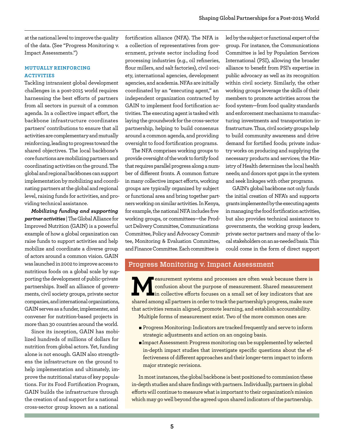at the national level to improve the quality of the data. (See "Progress Monitoring v. Impact Assessments.")

## **MUTUALLY REINFORCING ACTIVITIES**

Tackling intransient global development challenges in a post-2015 world requires harnessing the best efforts of partners from all sectors in pursuit of a common agenda. In a collective impact effort, the backbone infrastructure coordinates partners' contributions to ensure that all activities are complementary and mutually reinforcing, leading to progress toward the shared objectives. The local backbone's core functions are mobilizing partners and coordinating activities on the ground. The global and regional backbones can support implementation by mobilizing and coordinating partners at the global and regional level, raising funds for activities, and providing technical assistance.

*Mobilizing funding and supporting partner activities* | The Global Alliance for Improved Nutrition (GAIN) is a powerful example of how a global organization can raise funds to support activities and help mobilize and coordinate a diverse group of actors around a common vision. GAIN was launched in 2002 to improve access to nutritious foods on a global scale by supporting the development of public-private partnerships. Itself an alliance of governments, civil society groups, private sector companies, and international organizations, GAIN serves as a funder, implementer, and convener for nutrition-based projects in more than 30 countries around the world.

Since its inception, GAIN has mobilized hundreds of millions of dollars for nutrition from global actors. Yet, funding alone is not enough. GAIN also strengthens the infrastructure on the ground to help implementation and ultimately, improve the nutritional status of key populations. For its Food Fortification Program, GAIN builds the infrastructure through the creation of and support for a national cross-sector group known as a national

fortification alliance (NFA). The NFA is a collection of representatives from government, private sector including food processing industries (e.g., oil refineries, flour millers, and salt factories), civil society, international agencies, development agencies, and academia. NFAs are initially coordinated by an "executing agent," an independent organization contracted by GAIN to implement food fortification activities. The executing agent is tasked with laying the groundwork for the cross-sector partnership, helping to build consensus around a common agenda, and providing oversight to food fortification programs.

The NFA comprises working groups to provide oversight of the work to fortify food that requires parallel progress along a number of different fronts. A common fixture in many collective impact efforts, working groups are typically organized by subject or functional area and bring together partners working on similar activities. In Kenya, for example, the national NFA includes five working groups, or committees—the Product Delivery Committee, Communications Committee, Policy and Advocacy Committee, Monitoring & Evaluation Committee, and Finance Committee. Each committee is

led by the subject or functional expert of the group. For instance, the Communications Committee is led by Population Services International (PSI), allowing the broader alliance to benefit from PSI's expertise in public advocacy as well as its recognition within civil society. Similarly, the other working groups leverage the skills of their members to promote activities across the food system—from food quality standards and enforcement mechanisms to manufacturing investments and transportation infrastructure. Thus, civil society groups help to build community awareness and drive demand for fortified foods; private industry works on producing and supplying the necessary products and services; the Ministry of Health determines the local health needs; and donors spot gaps in the system and seek linkages with other programs.

GAIN's global backbone not only funds the initial creation of NFA's and supports grants implemented by the executing agents in managing the food fortification activities, but also provides technical assistance to governments, the working group leaders, private sector partners and many of the local stakeholders on an as-needed basis. This could come in the form of direct support

# Progress Monitoring v. Impact Assessment

**M**easurement systems and processes are often weak because there is confusion about the purpose of measurement. Shared measurement in collective efforts focuses on a small set of key indicators that are shared among all partners in order to track the partnership's progress, make sure that activities remain aligned, promote learning, and establish accountability.

Multiple forms of measurement exist. Two of the more common ones are:

- Progress Monitoring: Indicators are tracked frequently and serve to inform strategic adjustments and action on an ongoing basis.
- <sup>n</sup>Impact Assessment: Progress monitoring can be supplemented by selected in-depth impact studies that investigate specific questions about the effectiveness of different approaches and their longer-term impact to inform major strategic revisions.

In most instances, the global backbone is best positioned to commission these in-depth studies and share findings with partners. Individually, partners in global efforts will continue to measure what is important to their organization's mission which may go well beyond the agreed upon shared indicators of the partnership.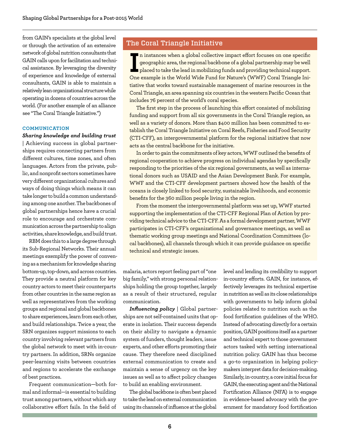from GAIN's specialists at the global level or through the activation of an extensive network of global nutrition consultants that GAIN calls upon for facilitation and technical assistance. By leveraging the diversity of experience and knowledge of external consultants, GAIN is able to maintain a relatively lean organizational structure while operating in dozens of countries across the world. (For another example of an alliance see "The Coral Triangle Initiative.")

#### **COMMUNICATION**

## *Sharing knowledge and building trust*

| Achieving success in global partnerships requires connecting partners from different cultures, time zones, and often languages. Actors from the private, public, and nonprofit sectors sometimes have very different organizational cultures and ways of doing things which means it can take longer to build a common understanding among one another. The backbones of global partnerships hence have a crucial role to encourage and orchestrate communication across the partnership to align activities, share knowledge, and build trust.

RBM does this to a large degree through its Sub-Regional Networks. Their annual meetings exemplify the power of convening as a mechanism for knowledge sharing bottom-up, top-down, and across countries. They provide a neutral platform for key country actors to meet their counterparts from other countries in the same region as well as representatives from the working groups and regional and global backbones to share experiences, learn from each other, and build relationships. Twice a year, the SRN organizes support missions to each country involving relevant partners from the global network to meet with in-country partners. In addition, SRNs organize peer-learning visits between countries and regions to accelerate the exchange of best practices.

Frequent communication—both formal and informal—is essential to building trust among partners, without which any collaborative effort fails. In the field of

# The Coral Triangle Initiative

II instances when a global collective impact effort focuses on one specific geographic area, the regional backbone of a global partnership may be well<br>placed to take the lead in mobilizing funds and providing technical sup  $\blacksquare$  n instances when a global collective impact effort focuses on one specific geographic area, the regional backbone of a global partnership may be well placed to take the lead in mobilizing funds and providing technical support. tiative that works toward sustainable management of marine resources in the Coral Triangle, an area spanning six countries in the western Pacific Ocean that includes 76 percent of the world's coral species.

The first step in the process of launching this effort consisted of mobilizing funding and support from all six governments in the Coral Triangle region, as well as a variety of donors. More than \$400 million has been committed to establish the Coral Triangle Initiative on Coral Reefs, Fisheries and Food Security (CTI-CFF), an intergovernmental platform for the regional initiative that now acts as the central backbone for the initiative.

In order to gain the commitments of key actors, WWF outlined the benefits of regional cooperation to achieve progress on individual agendas by specifically responding to the priorities of the six regional governments, as well as international donors such as USAID and the Asian Development Bank. For example, WWF and the CTI-CFF development partners showed how the health of the oceans is closely linked to food security, sustainable livelihoods, and economic benefits for the 360 million people living in the region.

From the moment the intergovernmental platform was set up, WWF started supporting the implementation of the CTI-CFF Regional Plan of Action by providing technical advice to the CTI-CFF. As a formal development partner, WWF participates in CTI-CFF's organizational and governance meetings, as well as thematic working group meetings and National Coordination Committees (local backbones), all channels through which it can provide guidance on specific technical and strategic issues.

malaria, actors report feeling part of "one big family," with strong personal relationships holding the group together, largely as a result of their structured, regular communication.

*Influencing policy* | Global partnerships are not self-contained units that operate in isolation. Their success depends on their ability to navigate a dynamic system of funders, thought leaders, issue experts, and other efforts promoting their cause. They therefore need disciplined external communication to create and maintain a sense of urgency on the key issues as well as to affect policy changes to build an enabling environment.

The global backbone is often best placed to take the lead on external communication using its channels of influence at the global level and lending its credibility to support in-country efforts. GAIN, for instance, effectively leverages its technical expertise in nutrition as well as its close relationships with governments to help inform global policies related to nutrition such as the food fortification guidelines of the WHO. Instead of advocating directly for a certain position, GAIN positions itself as a partner and technical expert to those government actors tasked with setting international nutrition policy. GAIN has thus become a go-to organization in helping policymakers interpret data for decision-making. Similarly, in-country, a core initial focus for GAIN, the executing agent and the National Fortification Alliance (NFA) is to engage in evidence-based advocacy with the government for mandatory food fortification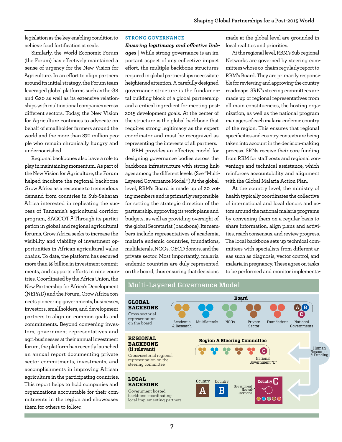legislation as the key enabling condition to achieve food fortification at scale.

Similarly, the World Economic Forum (the Forum) has effectively maintained a sense of urgency for the New Vision for Agriculture. In an effort to align partners around its initial strategy, the Forum team leveraged global platforms such as the G8 and G20 as well as its extensive relationships with multinational companies across different sectors. Today, the New Vision for Agriculture continues to advocate on behalf of smallholder farmers around the world and the more than 870 million people who remain chronically hungry and undernourished.

Regional backbones also have a role to play in maintaining momentum. As part of the New Vision for Agriculture, the Forum helped incubate the regional backbone Grow Africa as a response to tremendous demand from countries in Sub-Saharan Africa interested in replicating the success of Tanzania's agricultural corridor program, SAGCOT .**2** Through its participation in global and regional agricultural forums, Grow Africa seeks to increase the visibility and viability of investment opportunities in African agricultural value chains. To date, the platform has secured more than \$5 billion in investment commitments, and supports efforts in nine countries. Coordinated by the Africa Union, the New Partnership for Africa's Development (NEPAD) and the Forum, Grow Africa connects pioneering governments, businesses, investors, smallholders, and development partners to align on common goals and commitments. Beyond convening investors, government representatives and agri-businesses at their annual investment forum, the platform has recently launched an annual report documenting private sector commitments, investments, and accomplishments in improving African agriculture in the participating countries. This report helps to hold companies and organizations accountable for their commitments in the region and showcases them for others to follow.

#### **STRONG GOVERNANCE**

*Ensuring legitimacy and effective linkages* | While strong governance is an important aspect of any collective impact effort, the multiple backbone structures required in global partnerships necessitate heightened attention. A carefully designed governance structure is the fundamental building block of a global partnership and a critical ingredient for meeting post-2015 development goals. At the center of the structure is the global backbone that requires strong legitimacy as the expert coordinator and must be recognized as representing the interests of all partners.

RBM provides an effective model for designing governance bodies across the backbone infrastructure with strong linkages among the different levels. (See "Multi-Layered Governance Model.") At the global level, RBM's Board is made up of 20 voting members and is primarily responsible for setting the strategic direction of the partnership, approving its work plans and budgets, as well as providing oversight of the global Secretariat (backbone). Its members include representatives of academia, malaria endemic countries, foundations, multilaterals, NGOs, OECD donors, and the private sector. Most importantly, malaria endemic countries are duly represented on the board, thus ensuring that decisions

made at the global level are grounded in local realities and priorities.

At the regional level, RBM's Sub-regional Networks are governed by steering committees whose co-chairs regularly report to RBM's Board. They are primarily responsible for reviewing and approving the country roadmaps. SRN's steering committees are made up of regional representatives from all main constituencies, the hosting organization, as well as the national program managers of each malaria endemic country of the region. This ensures that regional specificities and country contexts are being taken into account in the decision-making process. SRNs receive their core funding from RBM for staff costs and regional convenings and technical assistance, which reinforces accountability and alignment with the Global Malaria Action Plan.

At the country level, the ministry of health typically coordinates the collective of international and local donors and actors around the national malaria programs by convening them on a regular basis to share information, align plans and activities, reach consensus, and review progress. The local backbone sets up technical committees with specialists from different areas such as diagnosis, vector control, and malaria in pregnancy. These agree on tasks to be performed and monitor implementa-

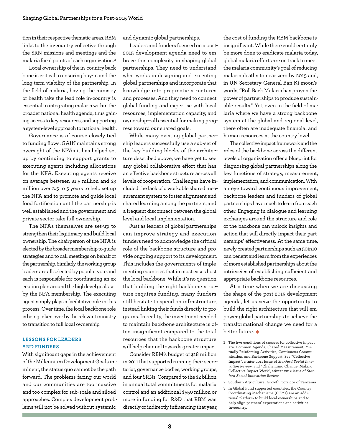tion in their respective thematic areas. RBM links to the in-country collective through the SRN missions and meetings and the malaria focal points of each organization.**<sup>3</sup>**

Local ownership of the in-country backbone is critical to ensuring buy-in and the long-term viability of the partnership. In the field of malaria, having the ministry of health take the lead role in-country is essential to integrating malaria within the broader national health agenda, thus gaining access to key resources, and supporting a system-level approach to national health.

Governance is of course closely tied to funding flows. GAIN maintains strong oversight of the NFAs it has helped set up by continuing to support grants to executing agents including allocations for the NFA. Executing agents receive on average between \$1.5 million and \$3 million over 2.5 to 5 years to help set up the NFA and to promote and guide local food fortification until the partnership is well established and the government and private sector take full ownership.

The NFAs themselves are set-up to strengthen their legitimacy and build local ownership. The chairperson of the NFA is elected by the broader membership to guide strategies and to call meetings on behalf of the partnership. Similarly, the working group leaders are all selected by popular vote and each is responsible for coordinating an execution plan around the high level goals set by the NFA membership. The executing agent simply plays a facilitative role in this process. Over time, the local backbone role is being taken over by the relevant ministry to transition to full local ownership.

### **LESSONS FOR LEADERS AND FUNDERS**

With significant gaps in the achievement of the Millennium Development Goals imminent, the status quo cannot be the path forward. The problems facing our world and our communities are too massive and too complex for sub-scale and siloed approaches. Complex development problems will not be solved without systemic

and dynamic global partnerships.

Leaders and funders focused on a post-2015 development agenda need to embrace this complexity in shaping global partnerships. They need to understand what works in designing and executing global partnerships and incorporate that knowledge into pragmatic structures and processes. And they need to connect global funding and expertise with local resources, implementation capacity, and ownership—all essential for making progress toward our shared goals.

While many existing global partnership leaders successfully use a sub-set of the key building blocks of the architecture described above, we have yet to see any global collaborative effort that has an effective backbone structure across all levels of cooperation. Challenges have included the lack of a workable shared measurement system to foster alignment and shared learning among the partners, and a frequent disconnect between the global level and local implementation.

Just as leaders of global partnerships can improve strategy and execution, funders need to acknowledge the critical role of the backbone structure and provide ongoing support to its development. This includes the governments of implementing countries that in most cases host the local backbone. While it's no question that building the right backbone structure requires funding, many funders still hesitate to spend on infrastructure, instead linking their funds directly to programs. In reality, the investment needed to maintain backbone architecture is often insignificant compared to the total resources that the backbone structure will help channel towards greater impact.

Consider RBM's budget of \$18 million in 2011 that supported running their secretariat, governance bodies, working groups, and four SRNs. Compared to the \$2 billion in annual total commitments for malaria control and an additional \$550 million or more in funding for R&D that RBM was directly or indirectly influencing that year, the cost of funding the RBM backbone is insignificant. While there could certainly be more done to eradicate malaria today, global malaria efforts are on track to meet the malaria community's goal of reducing malaria deaths to near zero by 2015 and, in UN Secretary-General Ban Ki-moon's words, "Roll Back Malaria has proven the power of partnerships to produce sustainable results." Yet, even in the field of malaria where we have a strong backbone system at the global and regional level, there often are inadequate financial and human resources at the country level.

The collective impact framework and the roles of the backbone across the different levels of organization offer a blueprint for diagnosing global partnerships along the key functions of strategy, measurement, implementation, and communication. With an eye toward continuous improvement, backbone leaders and funders of global partnerships have much to learn from each other. Engaging in dialogue and learning exchanges around the structure and role of the backbone can unlock insights and action that will directly impact their partnerships' effectiveness. At the same time, newly created partnerships such as 50in10 can benefit and learn from the experiences of more established partnerships about the intricacies of establishing sufficient and appropriate backbone resources.

At a time when we are discussing the shape of the post-2015 development agenda, let us seize the opportunity to build the right architecture that will empower global partnerships to achieve the transformational change we need for a better future.  $\bullet$ 

- 1 The five conditions of success for collective impact are: Common Agenda, Shared Measurement, Mutually Reinforcing Activities, Continuous Communication, and Backbone Support. See "Collective Impact", winter 2011 issue of *Stanford Social Innovation Review*, and "Challenging Change: Making Collective Impact Work", winter 2012 issue of *Stanford Social Innovation Review*.
- 2 Southern Agricultural Growth Corridor of Tanzania
- 3 In Global Fund supported countries, the Country Coordinating Mechanisms (CCMs) are an additional platform to build local ownerships and to help align partners' expectations and activities in-country.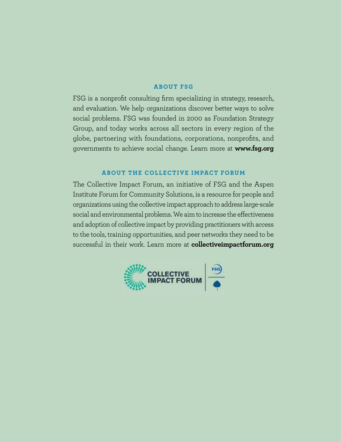## **About FS G**

FSG is a nonprofit consulting firm specializing in strategy, research, and evaluation. We help organizations discover better ways to solve social problems. FSG was founded in 2000 as Foundation Strategy Group, and today works across all sectors in every region of the globe, partnering with foundations, corporations, nonprofits, and governments to achieve social change. Learn more at **www.fsg.org**

# **About the Collective Impact Forum**

The Collective Impact Forum, an initiative of FSG and the Aspen Institute Forum for Community Solutions, is a resource for people and organizations using the collective impact approach to address large-scale social and environmental problems. We aim to increase the effectiveness and adoption of collective impact by providing practitioners with access to the tools, training opportunities, and peer networks they need to be successful in their work. Learn more at **collectiveimpactforum.org**